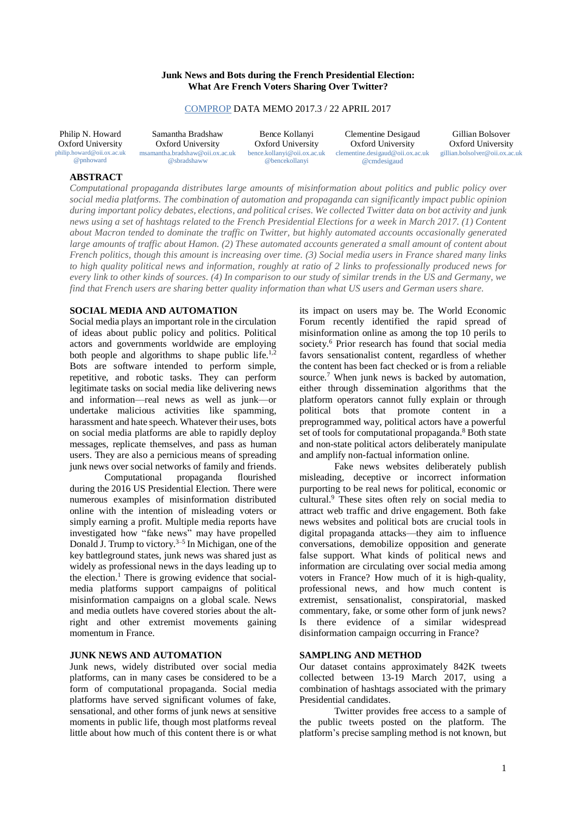### **Junk News and Bots during the French Presidential Election: What Are French Voters Sharing Over Twitter?**

### [COMPROP](http://www.politicalbots.org/) DATA MEMO 2017.3 / 22 APRIL 2017

Philip N. Howard Oxford University [philip.howard@oii.ox.ac.uk](mailto:philip.howard@oii.ox.ac.uk) [@pnhoward](https://twitter.com/pnhoward)

Samantha Bradshaw Oxford University [msamantha.bradshaw@oii.ox.ac.uk](mailto:msamantha.bradshaw@oii.ox.ac.uk) [@sbradshaww](http://www.twitter.com/sbradshaww)

Bence Kollanyi Oxford University [bence.kollanyi@oii.ox.ac.uk](mailto:bence.kollanyi@oii.ox.ac.uk) [@bencekollanyi](https://twitter.com/bencekollanyi)

Clementine Desigaud Oxford University [clementine.desigaud@oii.ox.ac.uk](mailto:clementine.desigaud@oii.ox.ac.uk) [@cmdesigaud](https://twitter.com/CMDesigaud)

Gillian Bolsover Oxford University [gillian.bolsolver@oii.ox.ac.uk](mailto:gillian.bolsolver@oii.ox.ac.uk)

# **ABSTRACT**

*Computational propaganda distributes large amounts of misinformation about politics and public policy over social media platforms. The combination of automation and propaganda can significantly impact public opinion* during important policy debates, elections, and political crises. We collected Twitter data on bot activity and junk news using a set of hashtags related to the French Presidential Elections for a week in March 2017. (1) Content *about Macron tended to dominate the traffic on Twitter, but highly automated accounts occasionally generated* large amounts of traffic about Hamon. (2) These automated accounts generated a small amount of content about French politics, though this amount is increasing over time. (3) Social media users in France shared many links to high quality political news and information, roughly at ratio of 2 links to professionally produced news for every link to other kinds of sources. (4) In comparison to our study of similar trends in the US and Germany, we *find that French users are sharing better quality information than what US users and German users share.*

### **SOCIAL MEDIA AND AUTOMATION**

Social media plays an important role in the circulation of ideas about public policy and politics. Political actors and governments worldwide are employing both people and algorithms to shape public life.<sup>1,2</sup> Bots are software intended to perform simple, repetitive, and robotic tasks. They can perform legitimate tasks on social media like delivering news and information—real news as well as junk—or undertake malicious activities like spamming, harassment and hate speech. Whatever their uses, bots on social media platforms are able to rapidly deploy messages, replicate themselves, and pass as human users. They are also a pernicious means of spreading junk news over social networks of family and friends.

Computational propaganda flourished during the 2016 US Presidential Election. There were numerous examples of misinformation distributed online with the intention of misleading voters or simply earning a profit. Multiple media reports have investigated how "fake news" may have propelled Donald J. Trump to victory.<sup>3–5</sup> In Michigan, one of the key battleground states, junk news was shared just as widely as professional news in the days leading up to the election. <sup>1</sup> There is growing evidence that socialmedia platforms support campaigns of political misinformation campaigns on a global scale. News and media outlets have covered stories about the altright and other extremist movements gaining momentum in France.

### **JUNK NEWS AND AUTOMATION**

Junk news, widely distributed over social media platforms, can in many cases be considered to be a form of computational propaganda. Social media platforms have served significant volumes of fake, sensational, and other forms of junk news at sensitive moments in public life, though most platforms reveal little about how much of this content there is or what its impact on users may be. The World Economic Forum recently identified the rapid spread of misinformation online as among the top 10 perils to society.<sup>6</sup> Prior research has found that social media favors sensationalist content, regardless of whether the content has been fact checked or is from a reliable source.<sup>7</sup> When junk news is backed by automation, either through dissemination algorithms that the platform operators cannot fully explain or through political bots that promote content in a preprogrammed way, political actors have a powerful set of tools for computational propaganda.<sup>8</sup> Both state and non-state political actors deliberately manipulate and amplify non-factual information online.

Fake news websites deliberately publish misleading, deceptive or incorrect information purporting to be real news for political, economic or cultural.<sup>9</sup> These sites often rely on social media to attract web traffic and drive engagement. Both fake news websites and political bots are crucial tools in digital propaganda attacks—they aim to influence conversations, demobilize opposition and generate false support. What kinds of political news and information are circulating over social media among voters in France? How much of it is high-quality, professional news, and how much content is extremist, sensationalist, conspiratorial, masked commentary, fake, or some other form of junk news? Is there evidence of a similar widespread disinformation campaign occurring in France?

### **SAMPLING AND METHOD**

Our dataset contains approximately 842K tweets collected between 13-19 March 2017, using a combination of hashtags associated with the primary Presidential candidates.

Twitter provides free access to a sample of the public tweets posted on the platform. The platform's precise sampling method is not known, but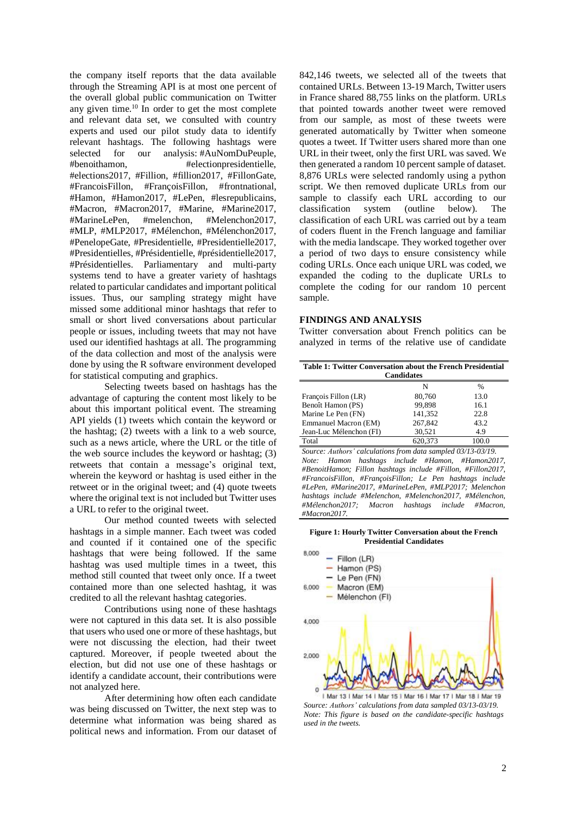the company itself reports that the data available through the Streaming API is at most one percent of the overall global public communication on Twitter any given time. <sup>10</sup> In order to get the most complete and relevant data set, we consulted with country experts and used our pilot study data to identify relevant hashtags. The following hashtags were selected for our analysis: #AuNomDuPeuple,<br>#benoithamon, #electionpresidentielle, #electionpresidentielle, #elections2017, #Fillion, #fillion2017, #FillonGate, #FrancoisFillon, #FrançoisFillon, #frontnational, #Hamon, #Hamon2017, #LePen, #lesrepublicains, #Macron, #Macron2017, #Marine, #Marine2017, #MarineLePen, #melenchon, #Melenchon2017, #MLP, #MLP2017, #Mélenchon, #Mélenchon2017, #PenelopeGate, #Presidentielle, #Presidentielle2017, #Presidentielles, #Présidentielle, #présidentielle2017, #Présidentielles. Parliamentary and multi-party systems tend to have a greater variety of hashtags related to particular candidates and important political issues. Thus, our sampling strategy might have missed some additional minor hashtags that refer to small or short lived conversations about particular people or issues, including tweets that may not have used our identified hashtags at all. The programming of the data collection and most of the analysis were done by using the R software environment developed for statistical computing and graphics.

Selecting tweets based on hashtags has the advantage of capturing the content most likely to be about this important political event. The streaming API yields (1) tweets which contain the keyword or the hashtag; (2) tweets with a link to a web source, such as a news article, where the URL or the title of the web source includes the keyword or hashtag; (3) retweets that contain a message's original text, wherein the keyword or hashtag is used either in the retweet or in the original tweet; and (4) quote tweets where the original text is not included but Twitter uses a URL to refer to the original tweet.

Our method counted tweets with selected hashtags in a simple manner. Each tweet was coded and counted if it contained one of the specific hashtags that were being followed. If the same hashtag was used multiple times in a tweet, this method still counted that tweet only once. If a tweet contained more than one selected hashtag, it was credited to all the relevant hashtag categories.

Contributions using none of these hashtags were not captured in this data set. It is also possible that users who used one or more of these hashtags, but were not discussing the election, had their tweet captured. Moreover, if people tweeted about the election, but did not use one of these hashtags or identify a candidate account, their contributions were not analyzed here.

After determining how often each candidate was being discussed on Twitter, the next step was to determine what information was being shared as political news and information. From our dataset of 842,146 tweets, we selected all of the tweets that contained URLs. Between 13-19 March, Twitter users in France shared 88,755 links on the platform. URLs that pointed towards another tweet were removed from our sample, as most of these tweets were generated automatically by Twitter when someone quotes a tweet. If Twitter users shared more than one URL in their tweet, only the first URL was saved. We then generated a random 10 percent sample of dataset. 8,876 URLs were selected randomly using a python script. We then removed duplicate URLs from our sample to classify each URL according to our classification system (outline below). The classification of each URL was carried out by a team of coders fluent in the French language and familiar with the media landscape. They worked together over a period of two days to ensure consistency while coding URLs. Once each unique URL was coded, we expanded the coding to the duplicate URLs to complete the coding for our random 10 percent sample.

#### **FINDINGS AND ANALYSIS**

Twitter conversation about French politics can be analyzed in terms of the relative use of candidate

| Table 1: Twitter Conversation about the French Presidential<br><b>Candidates</b> |         |               |  |  |
|----------------------------------------------------------------------------------|---------|---------------|--|--|
|                                                                                  | N       | $\frac{0}{0}$ |  |  |
| François Fillon (LR)                                                             | 80,760  | 13.0          |  |  |
| Benoît Hamon (PS)                                                                | 99.898  | 16.1          |  |  |
| Marine Le Pen (FN)                                                               | 141,352 | 22.8          |  |  |
| Emmanuel Macron (EM)                                                             | 267,842 | 43.2          |  |  |
| Jean-Luc Mélenchon (FI)                                                          | 30,521  | 4.9           |  |  |
| Total                                                                            | 620.373 | 100.0         |  |  |

*Source: Authors' calculations from data sampled 03/13-03/19. Note: Hamon hashtags include #Hamon, #Hamon2017, #BenoitHamon; Fillon hashtags include #Fillon, #Fillon2017, #FrancoisFillon, #FrançoisFillon; Le Pen hashtags include #LePen, #Marine2017, #MarineLePen, #MLP2017; Melenchon hashtags include #Melenchon, #Melenchon2017, #Mélenchon, #Mélenchon2017; Macron hashtags include #Macron, #Macron2017.*

#### **Figure 1: Hourly Twitter Conversation about the French Presidential Candidates**



1 Mar 13 | Mar 14 | Mar 15 | Mar 16 | Mar 17 | Mar 18 | Mar 19 *Source: Authors' calculations from data sampled 03/13-03/19. Note: This figure is based on the candidate-specific hashtags used in the tweets.*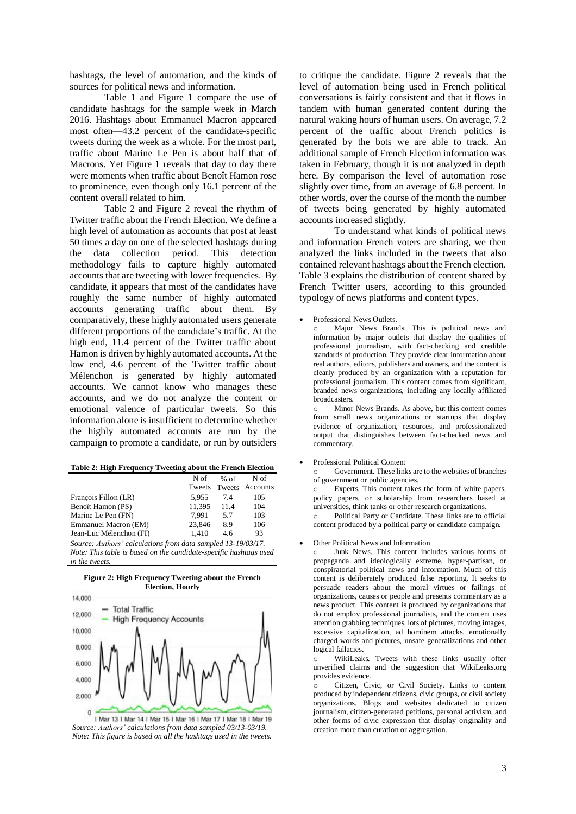hashtags, the level of automation, and the kinds of sources for political news and information.

Table 1 and Figure 1 compare the use of candidate hashtags for the sample week in March 2016. Hashtags about Emmanuel Macron appeared most often—43.2 percent of the candidate-specific tweets during the week as a whole. For the most part, traffic about Marine Le Pen is about half that of Macrons. Yet Figure 1 reveals that day to day there were moments when traffic about Benoît Hamon rose to prominence, even though only 16.1 percent of the content overall related to him.

Table 2 and Figure 2 reveal the rhythm of Twitter traffic about the French Election. We define a high level of automation as accounts that post at least 50 times a day on one of the selected hashtags during the data collection period. This detection methodology fails to capture highly automated accounts that are tweeting with lower frequencies. By candidate, it appears that most of the candidates have roughly the same number of highly automated accounts generating traffic about them. By comparatively, these highly automated users generate different proportions of the candidate's traffic. At the high end, 11.4 percent of the Twitter traffic about Hamon is driven by highly automated accounts. At the low end, 4.6 percent of the Twitter traffic about Mélenchon is generated by highly automated accounts. We cannot know who manages these accounts, and we do not analyze the content or emotional valence of particular tweets. So this information alone is insufficient to determine whether the highly automated accounts are run by the campaign to promote a candidate, or run by outsiders

| Table 2: High Frequency Tweeting about the French Election |        |        |          |  |  |
|------------------------------------------------------------|--------|--------|----------|--|--|
|                                                            | N of   | $%$ of | N of     |  |  |
|                                                            | Tweets | Tweets | Accounts |  |  |
| François Fillon (LR)                                       | 5.955  | 74     | 105      |  |  |
| Benoît Hamon (PS)                                          | 11,395 | 11.4   | 104      |  |  |
| Marine Le Pen (FN)                                         | 7.991  | 5.7    | 103      |  |  |
| Emmanuel Macron (EM)                                       | 23,846 | 8.9    | 106      |  |  |
| Jean-Luc Mélenchon (FI)                                    | 1.410  | 4.6    | 93       |  |  |

*Source: Authors' calculations from data sampled 13-19/03/17. Note: This table is based on the candidate-specific hashtags used in the tweets.*





1 Mar 13 | Mar 14 | Mar 15 | Mar 16 | Mar 17 | Mar 18 | Mar 19 *Source: Authors' calculations from data sampled 03/13-03/19. Note: This figure is based on all the hashtags used in the tweets.*

to critique the candidate. Figure 2 reveals that the level of automation being used in French political conversations is fairly consistent and that it flows in tandem with human generated content during the natural waking hours of human users. On average, 7.2 percent of the traffic about French politics is generated by the bots we are able to track. An additional sample of French Election information was taken in February, though it is not analyzed in depth here. By comparison the level of automation rose slightly over time, from an average of 6.8 percent. In other words, over the course of the month the number of tweets being generated by highly automated accounts increased slightly.

To understand what kinds of political news and information French voters are sharing, we then analyzed the links included in the tweets that also contained relevant hashtags about the French election. Table 3 explains the distribution of content shared by French Twitter users, according to this grounded typology of news platforms and content types.

#### Professional News Outlets.

Major News Brands. This is political news and information by major outlets that display the qualities of professional journalism, with fact-checking and credible standards of production. They provide clear information about real authors, editors, publishers and owners, and the content is clearly produced by an organization with a reputation for professional journalism. This content comes from significant, branded news organizations, including any locally affiliated broadcasters.

Minor News Brands. As above, but this content comes from small news organizations or startups that display evidence of organization, resources, and professionalized output that distinguishes between fact-checked news and commentary.

#### • Professional Political Content

Government. These links are to the websites of branches of government or public agencies.

o Experts. This content takes the form of white papers, policy papers, or scholarship from researchers based at universities, think tanks or other research organizations. o Political Party or Candidate. These links are to official content produced by a political party or candidate campaign.

#### • Other Political News and Information

Junk News. This content includes various forms of propaganda and ideologically extreme, hyper-partisan, or conspiratorial political news and information. Much of this content is deliberately produced false reporting. It seeks to persuade readers about the moral virtues or failings of organizations, causes or people and presents commentary as a news product. This content is produced by organizations that do not employ professional journalists, and the content uses attention grabbing techniques, lots of pictures, moving images, excessive capitalization, ad hominem attacks, emotionally charged words and pictures, unsafe generalizations and other logical fallacies.

o WikiLeaks. Tweets with these links usually offer unverified claims and the suggestion that WikiLeaks.org provides evidence.

o Citizen, Civic, or Civil Society. Links to content produced by independent citizens, civic groups, or civil society organizations. Blogs and websites dedicated to citizen journalism, citizen-generated petitions, personal activism, and other forms of civic expression that display originality and creation more than curation or aggregation.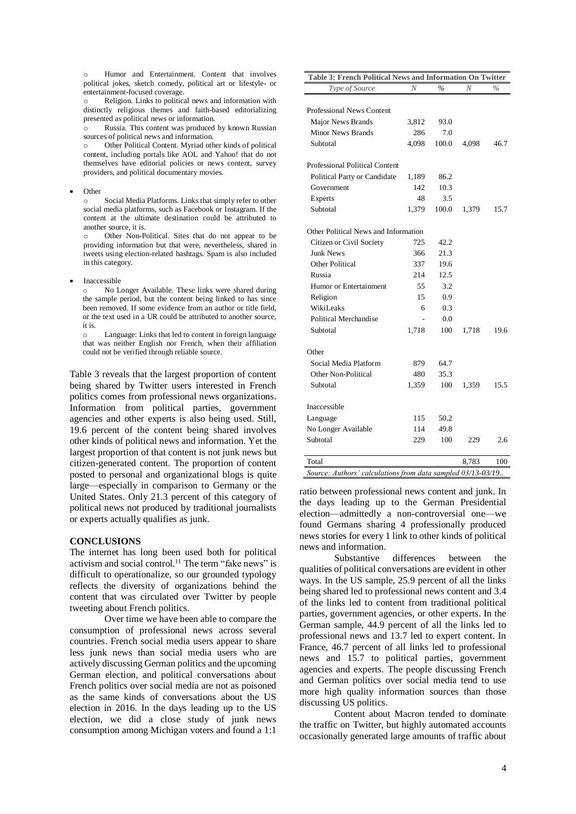Humor and Entertainment. Content that involves political jokes, sketch comedy, political art or lifestyle- or entertainment-focused coverage.

Religion. Links to political news and information with distinctly religious themes and faith-based editorializing presented as political news or information.

Russia. This content was produced by known Russian sources of political news and information.

o Other Political Content. Myriad other kinds of political content, including portals like AOL and Yahoo! that do not themselves have editorial policies or news content, survey providers, and political documentary movies.

• Other

Social Media Platforms. Links that simply refer to other social media platforms, such as Facebook or Instagram. If the content at the ultimate destination could be attributed to another source, it is.

Other Non-Political. Sites that do not appear to be providing information but that were, nevertheless, shared in tweets using election-related hashtags. Spam is also included in this category.

**Inaccessible** 

o No Longer Available. These links were shared during the sample period, but the content being linked to has since been removed. If some evidence from an author or title field, or the text used in a UR could be attributed to another source, it is.

o Language: Links that led to content in foreign language that was neither English nor French, when their affiliation could not be verified through reliable source.

Table 3 reveals that the largest proportion of content being shared by Twitter users interested in French politics comes from professional news organizations. Information from political parties, government agencies and other experts is also being used. Still, 19.6 percent of the content being shared involves other kinds of political news and information. Yet the largest proportion of that content is not junk news but citizen-generated content. The proportion of content posted to personal and organizational blogs is quite large—especially in comparison to Germany or the United States. Only 21.3 percent of this category of political news not produced by traditional journalists or experts actually qualifies as junk.

### **CONCLUSIONS**

The internet has long been used both for political activism and social control.<sup>11</sup> The term "fake news" is difficult to operationalize, so our grounded typology reflects the diversity of organizations behind the content that was circulated over Twitter by people tweeting about French politics.

Over time we have been able to compare the consumption of professional news across several countries. French social media users appear to share less junk news than social media users who are actively discussing German politics and the upcoming German election, and political conversations about French politics over social media are not as poisoned as the same kinds of conversations about the US election in 2016. In the days leading up to the US election, we did a close study of junk news consumption among Michigan voters and found a 1:1

| Table 3: French Political News and Information On Twitter   |       |       |       |      |  |
|-------------------------------------------------------------|-------|-------|-------|------|--|
| Type of Source                                              | N     | $\%$  | N     | $\%$ |  |
|                                                             |       |       |       |      |  |
| <b>Professional News Content</b>                            |       |       |       |      |  |
| Major News Brands                                           | 3,812 | 93.0  |       |      |  |
| <b>Minor News Brands</b>                                    | 286   | 7.0   |       |      |  |
| Subtotal                                                    | 4,098 | 100.0 | 4,098 | 46.7 |  |
| <b>Professional Political Content</b>                       |       |       |       |      |  |
| Political Party or Candidate                                | 1,189 | 86.2  |       |      |  |
| Government                                                  | 142   | 10.3  |       |      |  |
| Experts                                                     | 48    | 3.5   |       |      |  |
| Subtotal                                                    | 1,379 | 100.0 | 1,379 | 15.7 |  |
| Other Political News and Information                        |       |       |       |      |  |
| Citizen or Civil Society                                    | 725   | 42.2  |       |      |  |
| <b>Junk News</b>                                            | 366   | 21.3  |       |      |  |
| Other Political                                             | 337   | 19.6  |       |      |  |
| Russia                                                      | 214   | 12.5  |       |      |  |
| Humor or Entertainment                                      | 55    | 3.2   |       |      |  |
| Religion                                                    | 15    | 0.9   |       |      |  |
| WikiLeaks                                                   | 6     | 0.3   |       |      |  |
| Political Merchandise                                       |       | 0.0   |       |      |  |
| Subtotal                                                    | 1,718 | 100   | 1,718 | 19.6 |  |
| Other                                                       |       |       |       |      |  |
| Social Media Platform                                       | 879   | 64.7  |       |      |  |
| Other Non-Political                                         | 480   | 35.3  |       |      |  |
| Subtotal                                                    | 1,359 | 100   | 1,359 | 15.5 |  |
|                                                             |       |       |       |      |  |
| Inaccessible                                                |       |       |       |      |  |
| Language                                                    | 115   | 50.2  |       |      |  |
| No Longer Available                                         | 114   | 49.8  |       |      |  |
| Subtotal                                                    | 229   | 100   | 229   | 2.6  |  |
| Total                                                       |       |       | 8,783 | 100  |  |
| Source: Authors' calculations from data sampled 03/13-03/19 |       |       |       |      |  |

ratio between professional news content and junk. In the days leading up to the German Presidential election—admittedly a non-controversial one—we found Germans sharing 4 professionally produced news stories for every 1 link to other kinds of political news and information.

Substantive differences between the qualities of political conversations are evident in other ways. In the US sample, 25.9 percent of all the links being shared led to professional news content and 3.4 of the links led to content from traditional political parties, government agencies, or other experts. In the German sample, 44.9 percent of all the links led to professional news and 13.7 led to expert content. In France, 46.7 percent of all links led to professional news and 15.7 to political parties, government agencies and experts. The people discussing French and German politics over social media tend to use more high quality information sources than those discussing US politics.

Content about Macron tended to dominate the traffic on Twitter, but highly automated accounts occasionally generated large amounts of traffic about